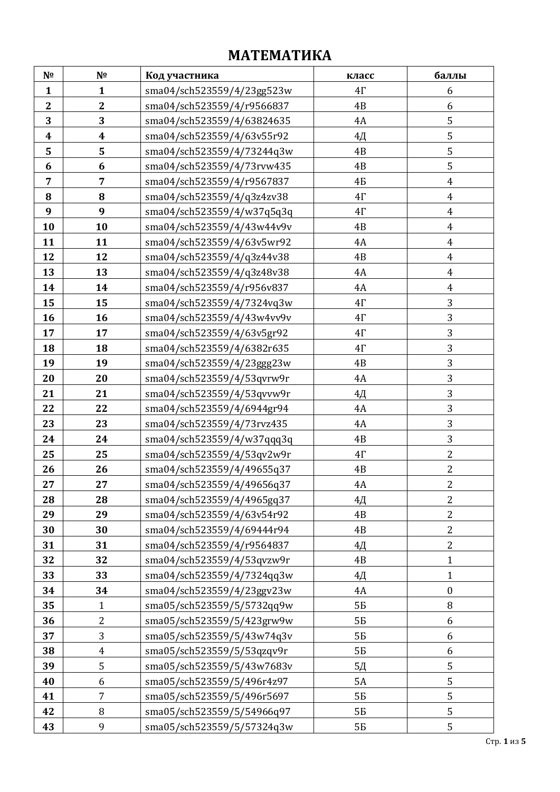## **МАТЕМАТИКА**

| N <sub>2</sub>   | Nº               | Код участника              | класс     | баллы            |
|------------------|------------------|----------------------------|-----------|------------------|
| $\mathbf{1}$     | $\mathbf{1}$     | sma04/sch523559/4/23gg523w | $4\Gamma$ | 6                |
| $\mathbf{2}$     | $\overline{2}$   | sma04/sch523559/4/r9566837 | 4B        | 6                |
| 3                | 3                | sma04/sch523559/4/63824635 | 4A        | 5                |
| $\boldsymbol{4}$ | $\boldsymbol{4}$ | sma04/sch523559/4/63v55r92 | 4Д        | 5                |
| 5                | 5                | sma04/sch523559/4/73244q3w | 4B        | 5                |
| 6                | 6                | sma04/sch523559/4/73rvw435 | 4B        | 5                |
| $\overline{7}$   | 7                | sma04/sch523559/4/r9567837 | 4Б        | $\boldsymbol{4}$ |
| 8                | 8                | sma04/sch523559/4/q3z4zv38 | $4\Gamma$ | $\overline{4}$   |
| 9                | 9                | sma04/sch523559/4/w37q5q3q | $4\Gamma$ | $\boldsymbol{4}$ |
| 10               | 10               | sma04/sch523559/4/43w44v9v | 4B        | $\boldsymbol{4}$ |
| 11               | 11               | sma04/sch523559/4/63v5wr92 | 4A        | $\overline{4}$   |
| 12               | 12               | sma04/sch523559/4/q3z44v38 | 4B        | $\overline{4}$   |
| 13               | 13               | sma04/sch523559/4/q3z48v38 | 4A        | $\overline{4}$   |
| 14               | 14               | sma04/sch523559/4/r956v837 | 4A        | $\boldsymbol{4}$ |
| 15               | 15               | sma04/sch523559/4/7324vq3w | $4\Gamma$ | 3                |
| 16               | 16               | sma04/sch523559/4/43w4vv9v | $4\Gamma$ | 3                |
| 17               | 17               | sma04/sch523559/4/63v5gr92 | $4\Gamma$ | 3                |
| 18               | 18               | sma04/sch523559/4/6382r635 | $4\Gamma$ | 3                |
| 19               | 19               | sma04/sch523559/4/23ggg23w | 4B        | 3                |
| 20               | 20               | sma04/sch523559/4/53qvrw9r | 4A        | 3                |
| 21               | 21               | sma04/sch523559/4/53qvvw9r | $4\Box$   | 3                |
| 22               | 22               | sma04/sch523559/4/6944gr94 | 4A        | 3                |
| 23               | 23               | sma04/sch523559/4/73rvz435 | 4A        | 3                |
| 24               | 24               | sma04/sch523559/4/w37qqq3q | 4B        | 3                |
| 25               | 25               | sma04/sch523559/4/53qv2w9r | $4\Gamma$ | $\overline{2}$   |
| 26               | 26               | sma04/sch523559/4/49655q37 | 4B        | $\overline{2}$   |
| 27               | 27               | sma04/sch523559/4/49656q37 | 4A        | $\overline{2}$   |
| 28               | 28               | sma04/sch523559/4/4965gq37 | 4Д        | $\overline{2}$   |
| 29               | 29               | sma04/sch523559/4/63v54r92 | 4B        | $\overline{2}$   |
| 30               | 30               | sma04/sch523559/4/69444r94 | 4B        | $\overline{2}$   |
| 31               | 31               | sma04/sch523559/4/r9564837 | 4Д        | $\overline{2}$   |
| 32               | 32               | sma04/sch523559/4/53qvzw9r | 4B        | $\mathbf{1}$     |
| 33               | 33               | sma04/sch523559/4/7324qq3w | 4Д        | $\mathbf{1}$     |
| 34               | 34               | sma04/sch523559/4/23ggv23w | 4A        | $\boldsymbol{0}$ |
| 35               | $\mathbf{1}$     | sma05/sch523559/5/5732qq9w | 5Б        | 8                |
| 36               | $\overline{2}$   | sma05/sch523559/5/423grw9w | 5Б        | 6                |
| 37               | 3                | sma05/sch523559/5/43w74q3v | 5Б        | 6                |
| 38               | $\overline{4}$   | sma05/sch523559/5/53qzqv9r | 5Б        | 6                |
| 39               | 5                | sma05/sch523559/5/43w7683v | 5Д        | 5                |
| 40               | 6                | sma05/sch523559/5/496r4z97 | <b>5A</b> | 5                |
| 41               | 7                | sma05/sch523559/5/496r5697 | 5Б        | 5                |
| 42               | 8                | sma05/sch523559/5/54966q97 | 5Б        | 5                |
| 43               | 9                | sma05/sch523559/5/57324q3w | 5Б        | 5                |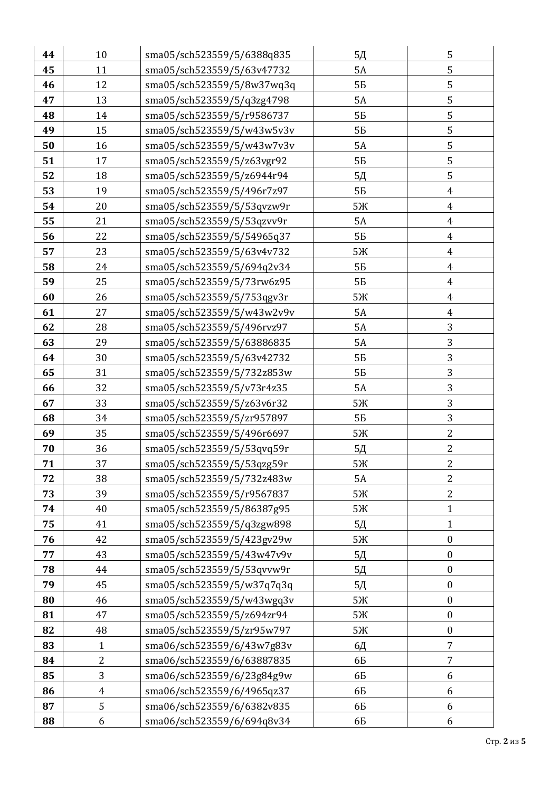| 44 | 10             | sma05/sch523559/5/6388q835 | 5Д             | 5                |
|----|----------------|----------------------------|----------------|------------------|
| 45 | 11             | sma05/sch523559/5/63v47732 | <b>5A</b>      | 5                |
| 46 | 12             | sma05/sch523559/5/8w37wq3q | 5Б             | 5                |
| 47 | 13             | sma05/sch523559/5/q3zg4798 | <b>5A</b>      | 5                |
| 48 | 14             | sma05/sch523559/5/r9586737 | 5Б             | 5                |
| 49 | 15             | sma05/sch523559/5/w43w5v3v | 5Б             | 5                |
| 50 | 16             | sma05/sch523559/5/w43w7v3v | 5A             | 5                |
| 51 | 17             | sma05/sch523559/5/z63vgr92 | 5Б             | 5                |
| 52 | 18             | sma05/sch523559/5/z6944r94 | 5Д             | 5                |
| 53 | 19             | sma05/sch523559/5/496r7z97 | 5Б             | $\overline{4}$   |
| 54 | 20             | sma05/sch523559/5/53qvzw9r | 5Ж             | $\boldsymbol{4}$ |
| 55 | 21             | sma05/sch523559/5/53qzvv9r | 5A             | $\overline{4}$   |
| 56 | 22             | sma05/sch523559/5/54965q37 | 5Б             | $\overline{4}$   |
| 57 | 23             | sma05/sch523559/5/63v4v732 | 5Ж             | $\boldsymbol{4}$ |
| 58 | 24             | sma05/sch523559/5/694q2v34 | 5Б             | $\overline{4}$   |
| 59 | 25             | sma05/sch523559/5/73rw6z95 | 5Б             | $\overline{4}$   |
| 60 | 26             | sma05/sch523559/5/753qgv3r | 5Ж             | $\boldsymbol{4}$ |
| 61 | 27             | sma05/sch523559/5/w43w2v9v | 5A             | $\overline{4}$   |
| 62 | 28             | sma05/sch523559/5/496rvz97 | 5A             | 3                |
| 63 | 29             | sma05/sch523559/5/63886835 | <b>5A</b>      | 3                |
| 64 | 30             | sma05/sch523559/5/63v42732 | 5Б             | 3                |
| 65 | 31             | sma05/sch523559/5/732z853w | 5Б             | 3                |
| 66 | 32             | sma05/sch523559/5/v73r4z35 | 5A             | 3                |
| 67 | 33             | sma05/sch523559/5/z63v6r32 | 5Ж             | 3                |
| 68 | 34             | sma05/sch523559/5/zr957897 | 5Б             | 3                |
| 69 | 35             | sma05/sch523559/5/496r6697 | 5Ж             | $\overline{2}$   |
| 70 | 36             | sma05/sch523559/5/53qvq59r | 5Д             | $\overline{2}$   |
| 71 | 37             | sma05/sch523559/5/53qzg59r | 5Ж             | $\overline{c}$   |
| 72 | 38             | sma05/sch523559/5/732z483w | <b>5A</b>      | $\overline{2}$   |
| 73 | 39             | sma05/sch523559/5/r9567837 | 5Ж             | 2                |
| 74 | 40             | sma05/sch523559/5/86387g95 | 5Ж             | $\mathbf{1}$     |
| 75 | 41             | sma05/sch523559/5/q3zgw898 | 5Д             | $\mathbf{1}$     |
| 76 | 42             | sma05/sch523559/5/423gv29w | 5Ж             | $\boldsymbol{0}$ |
| 77 | 43             | sma05/sch523559/5/43w47v9v | 5Д             | $\boldsymbol{0}$ |
| 78 | 44             | sma05/sch523559/5/53qvvw9r | 5 <sub>A</sub> | $\boldsymbol{0}$ |
| 79 | 45             | sma05/sch523559/5/w37q7q3q | 5Д             | $\boldsymbol{0}$ |
| 80 | 46             | sma05/sch523559/5/w43wgq3v | 5Ж             | $\boldsymbol{0}$ |
| 81 | 47             | sma05/sch523559/5/z694zr94 | 5Ж             | $\boldsymbol{0}$ |
| 82 | 48             | sma05/sch523559/5/zr95w797 | 5Ж             | $\boldsymbol{0}$ |
| 83 | 1              | sma06/sch523559/6/43w7g83v | 6Д             | 7                |
| 84 | $\overline{c}$ | sma06/sch523559/6/63887835 | 6Б             | 7                |
| 85 | 3              | sma06/sch523559/6/23g84g9w | 6Б             | 6                |
| 86 | $\overline{4}$ | sma06/sch523559/6/4965qz37 | 6Б             | 6                |
| 87 | 5              | sma06/sch523559/6/6382v835 | 6Б             | 6                |
| 88 | 6              | sma06/sch523559/6/694q8v34 | 6Б             | 6                |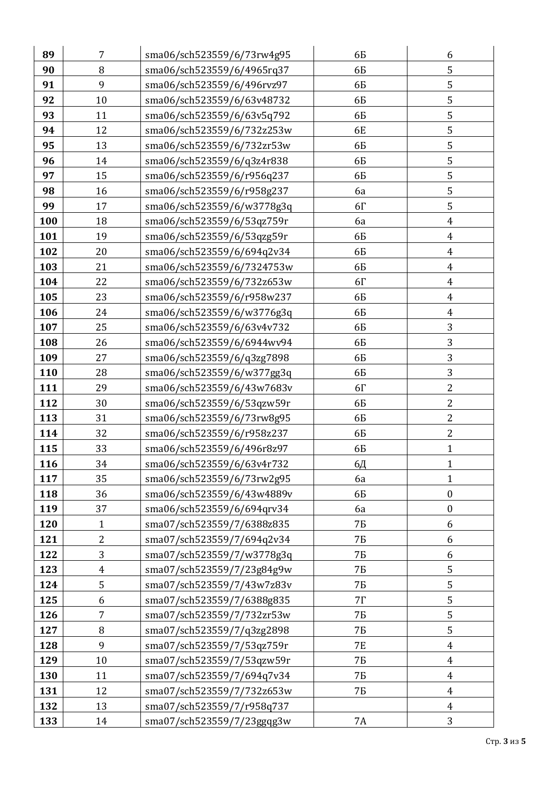| 89  | 7              | sma06/sch523559/6/73rw4g95 | 6Б        | 6                |
|-----|----------------|----------------------------|-----------|------------------|
| 90  | 8              | sma06/sch523559/6/4965rq37 | 6Б        | 5                |
| 91  | 9              | sma06/sch523559/6/496rvz97 | 6Б        | 5                |
| 92  | 10             | sma06/sch523559/6/63v48732 | 6Б        | 5                |
| 93  | 11             | sma06/sch523559/6/63v5q792 | 6Б        | 5                |
| 94  | 12             | sma06/sch523559/6/732z253w | 6E        | $\mathsf S$      |
| 95  | 13             | sma06/sch523559/6/732zr53w | 6Б        | 5                |
| 96  | 14             | sma06/sch523559/6/q3z4r838 | 6Б        | 5                |
| 97  | 15             | sma06/sch523559/6/r956q237 | 6Б        | 5                |
| 98  | 16             | sma06/sch523559/6/r958g237 | 6a        | 5                |
| 99  | 17             | sma06/sch523559/6/w3778g3q | $6\Gamma$ | 5                |
| 100 | 18             | sma06/sch523559/6/53qz759r | 6a        | $\boldsymbol{4}$ |
| 101 | 19             | sma06/sch523559/6/53qzg59r | 6Б        | $\overline{4}$   |
| 102 | 20             | sma06/sch523559/6/694q2v34 | 6Б        | $\overline{4}$   |
| 103 | 21             | sma06/sch523559/6/7324753w | 6Б        | $\overline{4}$   |
| 104 | 22             | sma06/sch523559/6/732z653w | $6\Gamma$ | $\overline{4}$   |
| 105 | 23             | sma06/sch523559/6/r958w237 | 6Б        | $\boldsymbol{4}$ |
| 106 | 24             | sma06/sch523559/6/w3776g3q | 6Б        | $\boldsymbol{4}$ |
| 107 | 25             | sma06/sch523559/6/63v4v732 | 6Б        | 3                |
| 108 | 26             | sma06/sch523559/6/6944wv94 | 6Б        | 3                |
| 109 | 27             | sma06/sch523559/6/q3zg7898 | 6Б        | 3                |
| 110 | 28             | sma06/sch523559/6/w377gg3q | 6Б        | 3                |
| 111 | 29             | sma06/sch523559/6/43w7683v | $6\Gamma$ | $\overline{2}$   |
| 112 | 30             | sma06/sch523559/6/53qzw59r | 6Б        | $\overline{2}$   |
| 113 | 31             | sma06/sch523559/6/73rw8g95 | 6Б        | $\overline{2}$   |
| 114 | 32             | sma06/sch523559/6/r958z237 | 6Б        | $\overline{2}$   |
| 115 | 33             | sma06/sch523559/6/496r8z97 | 6Б        | $\mathbf{1}$     |
| 116 | 34             | sma06/sch523559/6/63v4r732 | 6Д        | $\mathbf{1}$     |
| 117 | 35             | sma06/sch523559/6/73rw2g95 | 6a        | $\mathbf{1}$     |
| 118 | 36             | sma06/sch523559/6/43w4889v | 6Б        | $\boldsymbol{0}$ |
| 119 | 37             | sma06/sch523559/6/694qrv34 | 6a        | $\boldsymbol{0}$ |
| 120 | $\mathbf{1}$   | sma07/sch523559/7/6388z835 | 7Б        | 6                |
| 121 | $\overline{2}$ | sma07/sch523559/7/694q2v34 | 7Б        | 6                |
| 122 | 3              | sma07/sch523559/7/w3778g3q | 7Б        | 6                |
| 123 | $\overline{4}$ | sma07/sch523559/7/23g84g9w | 7Б        | 5                |
| 124 | 5              | sma07/sch523559/7/43w7z83v | 7Б        | 5                |
| 125 | 6              | sma07/sch523559/7/6388g835 | $7\Gamma$ | 5                |
| 126 | $\overline{7}$ | sma07/sch523559/7/732zr53w | 7Б        | 5                |
| 127 | 8              | sma07/sch523559/7/q3zg2898 | 7Б        | 5                |
| 128 | 9              | sma07/sch523559/7/53qz759r | <b>7E</b> | $\overline{4}$   |
| 129 | 10             | sma07/sch523559/7/53qzw59r | 7Б        | $\overline{4}$   |
| 130 | 11             | sma07/sch523559/7/694q7v34 | 7Б        | $\overline{4}$   |
| 131 | 12             | sma07/sch523559/7/732z653w | 7Б        | $\overline{4}$   |
| 132 | 13             | sma07/sch523559/7/r958q737 |           | $\overline{4}$   |
| 133 | 14             | sma07/sch523559/7/23ggqg3w | 7A        | 3                |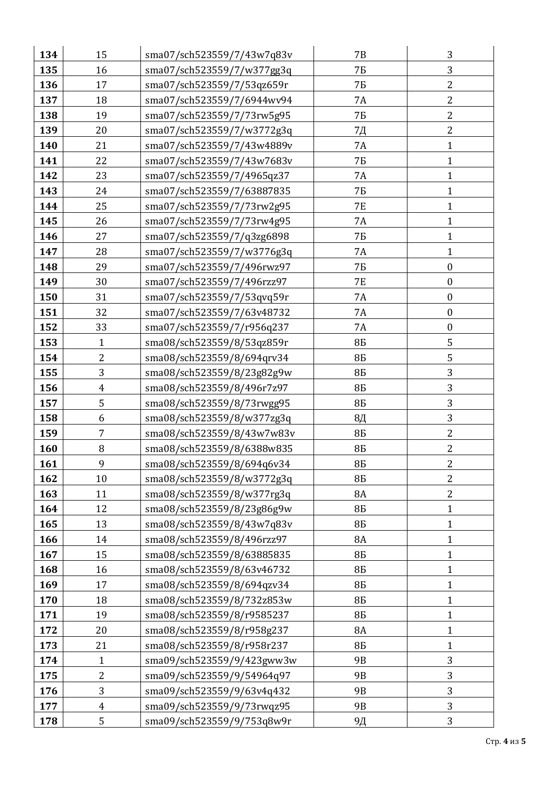| 134 | 15               | sma07/sch523559/7/43w7q83v | <b>7B</b>      | 3                |
|-----|------------------|----------------------------|----------------|------------------|
| 135 | 16               | sma07/sch523559/7/w377gg3q | 7Б             | 3                |
| 136 | 17               | sma07/sch523559/7/53qz659r | 7Б             | $\overline{c}$   |
| 137 | 18               | sma07/sch523559/7/6944wv94 | 7A             | $\overline{2}$   |
| 138 | 19               | sma07/sch523559/7/73rw5g95 | 7Б             | $\overline{2}$   |
| 139 | 20               | sma07/sch523559/7/w3772g3q | 7Д             | $\overline{2}$   |
| 140 | 21               | sma07/sch523559/7/43w4889v | <b>7A</b>      | $\mathbf{1}$     |
| 141 | 22               | sma07/sch523559/7/43w7683v | 7Б             | $\mathbf{1}$     |
| 142 | 23               | sma07/sch523559/7/4965qz37 | 7A             | $\mathbf{1}$     |
| 143 | 24               | sma07/sch523559/7/63887835 | 7Б             | $\mathbf{1}$     |
| 144 | 25               | sma07/sch523559/7/73rw2g95 | <b>7E</b>      | $\mathbf{1}$     |
| 145 | 26               | sma07/sch523559/7/73rw4g95 | 7A             | $\mathbf{1}$     |
| 146 | 27               | sma07/sch523559/7/q3zg6898 | 7Б             | $\mathbf{1}$     |
| 147 | 28               | sma07/sch523559/7/w3776g3q | 7A             | $\mathbf{1}$     |
| 148 | 29               | sma07/sch523559/7/496rwz97 | 7Б             | $\boldsymbol{0}$ |
| 149 | 30               | sma07/sch523559/7/496rzz97 | <b>7E</b>      | $\boldsymbol{0}$ |
| 150 | 31               | sma07/sch523559/7/53qvq59r | <b>7A</b>      | $\boldsymbol{0}$ |
| 151 | 32               | sma07/sch523559/7/63v48732 | 7A             | $\boldsymbol{0}$ |
| 152 | 33               | sma07/sch523559/7/r956q237 | 7A             | $\boldsymbol{0}$ |
| 153 | $\mathbf{1}$     | sma08/sch523559/8/53qz859r | 8Б             | 5                |
| 154 | $\overline{2}$   | sma08/sch523559/8/694qrv34 | 8Б             | 5                |
| 155 | 3                | sma08/sch523559/8/23g82g9w | 8Б             | 3                |
| 156 | $\overline{4}$   | sma08/sch523559/8/496r7z97 | 8Б             | 3                |
| 157 | 5                | sma08/sch523559/8/73rwgg95 | 8 <sub>B</sub> | 3                |
| 158 | 6                | sma08/sch523559/8/w377zg3q | 8Д             | 3                |
| 159 | $\overline{7}$   | sma08/sch523559/8/43w7w83v | 8Б             | $\overline{2}$   |
| 160 | 8                | sma08/sch523559/8/6388w835 | 8Б             | $\overline{2}$   |
| 161 | 9                | sma08/sch523559/8/694q6v34 | 8 <sub>B</sub> | $\overline{c}$   |
| 162 | 10               | sma08/sch523559/8/w3772g3q | 8Б             | $\overline{2}$   |
| 163 | 11               | sma08/sch523559/8/w377rg3q | <b>8A</b>      | $\overline{2}$   |
| 164 | 12               | sma08/sch523559/8/23g86g9w | 8Б             | $\mathbf{1}$     |
| 165 | 13               | sma08/sch523559/8/43w7q83v | 8Б             | 1                |
| 166 | 14               | sma08/sch523559/8/496rzz97 | <b>8A</b>      | $\mathbf{1}$     |
| 167 | 15               | sma08/sch523559/8/63885835 | 8Б             | $\mathbf{1}$     |
| 168 | 16               | sma08/sch523559/8/63v46732 | 8Б             | $\mathbf{1}$     |
| 169 | 17               | sma08/sch523559/8/694qzv34 | 8Б             | $\mathbf{1}$     |
| 170 | 18               | sma08/sch523559/8/732z853w | 8Б             | $\mathbf{1}$     |
| 171 | 19               | sma08/sch523559/8/r9585237 | 8Б             | $\mathbf{1}$     |
| 172 | 20               | sma08/sch523559/8/r958g237 | <b>8A</b>      | $\mathbf{1}$     |
| 173 | 21               | sma08/sch523559/8/r958r237 | 8Б             | $\mathbf{1}$     |
| 174 | $\mathbf{1}$     | sma09/sch523559/9/423gww3w | 9 <sub>B</sub> | 3                |
| 175 | $\overline{2}$   | sma09/sch523559/9/54964q97 | 9B             | 3                |
| 176 | $\overline{3}$   | sma09/sch523559/9/63v4q432 | 9 <sub>B</sub> | 3                |
| 177 | $\boldsymbol{4}$ | sma09/sch523559/9/73rwqz95 | 9B             | 3                |
| 178 | 5                | sma09/sch523559/9/753q8w9r | 9Д             | 3                |